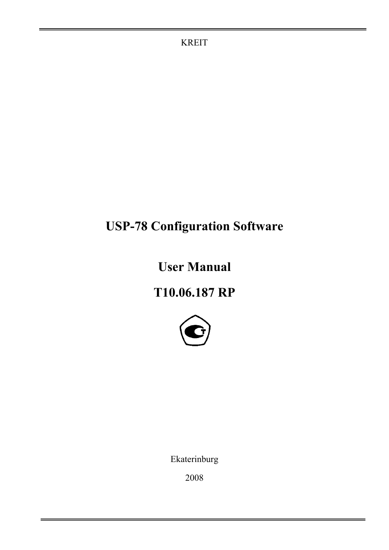KREIT

# **USP-78 Configuration Software**

**User Manual** 

**Т10.06.187 RP** 



Ekaterinburg

2008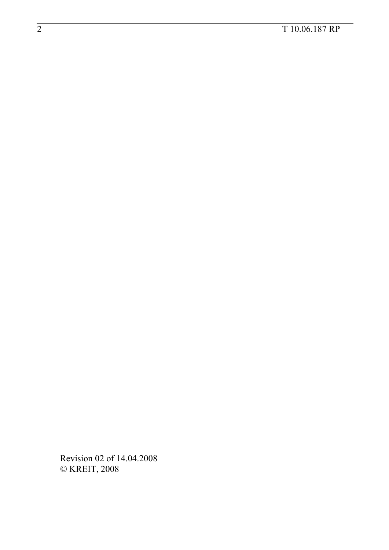# — 2 Т 10.06.187 RP

Revision 02 of 14.04.2008 © KREIT, 2008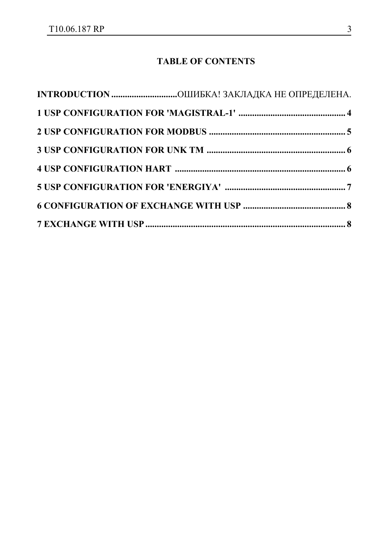## **TABLE OF CONTENTS**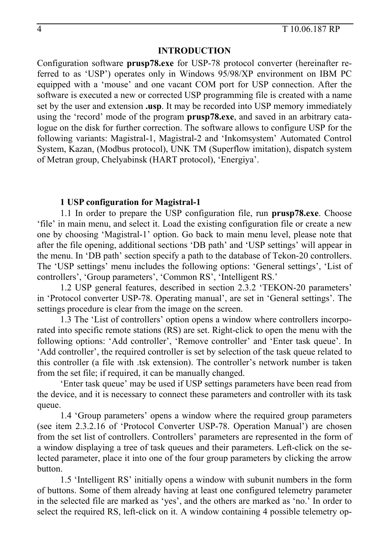#### **INTRODUCTION**

Configuration software **prusp78.exe** for USP-78 protocol converter (hereinafter referred to as 'USP') operates only in Windows 95/98/XP environment on IBM PC equipped with a 'mouse' and one vacant СОМ port for USP connection. After the software is executed a new or corrected USP programming file is created with a name set by the user and extension **.usp**. It may be recorded into USP memory immediately using the 'record' mode of the program **prusp78.exe**, and saved in an arbitrary catalogue on the disk for further correction. The software allows to configure USP for the following variants: Magistral-1, Magistral-2 and 'Inkomsystem' Automated Control System, Kazan, (Modbus protocol), UNK TM (Superflow imitation), dispatch system of Metran group, Chelyabinsk (HART protocol), 'Energiya'.

#### **1 USP configuration for Magistral-1**

1.1 In order to prepare the USP configuration file, run **prusp78.exe**. Choose 'file' in main menu, and select it. Load the existing configuration file or create a new one by choosing 'Magistral-1' option. Go back to main menu level, please note that after the file opening, additional sections 'DB path' and 'USP settings' will appear in the menu. In 'DB path' section specify a path to the database of Tekon-20 controllers. The 'USP settings' menu includes the following options: 'General settings', 'List of controllers', 'Group parameters', 'Common RS', 'Intelligent RS.'

1.2 USP general features, described in section 2.3.2 'TEKON-20 parameters' in 'Protocol converter USP-78. Operating manual', are set in 'General settings'. The settings procedure is clear from the image on the screen.

1.3 The 'List of controllers' option opens a window where controllers incorporated into specific remote stations (RS) are set. Right-click to open the menu with the following options: 'Add controller', 'Remove controller' and 'Enter task queue'. In 'Add controller', the required controller is set by selection of the task queue related to this controller (a file with .tsk extension). The controller's network number is taken from the set file; if required, it can be manually changed.

'Enter task queue' may be used if USP settings parameters have been read from the device, and it is necessary to connect these parameters and controller with its task queue.

1.4 'Group parameters' opens a window where the required group parameters (see item 2.3.2.16 of 'Protocol Converter USP-78. Operation Manual') are chosen from the set list of controllers. Controllers' parameters are represented in the form of a window displaying a tree of task queues and their parameters. Left-click on the selected parameter, place it into one of the four group parameters by clicking the arrow button.

 1.5 'Intelligent RS' initially opens a window with subunit numbers in the form of buttons. Some of them already having at least one configured telemetry parameter in the selected file are marked as 'yes', and the others are marked as 'no.' In order to select the required RS, left-click on it. A window containing 4 possible telemetry op-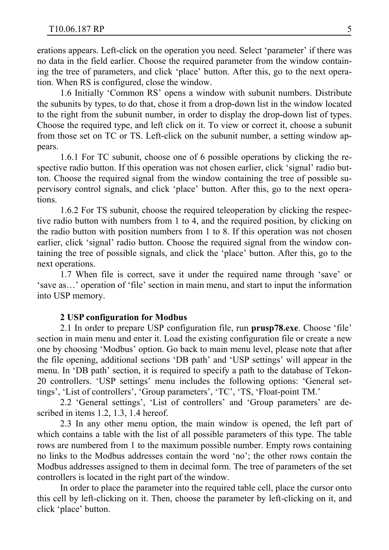erations appears. Left-click on the operation you need. Select 'parameter' if there was no data in the field earlier. Choose the required parameter from the window containing the tree of parameters, and click 'place' button. After this, go to the next operation. When RS is configured, close the window.

1.6 Initially 'Common RS' opens a window with subunit numbers. Distribute the subunits by types, to do that, chose it from a drop-down list in the window located to the right from the subunit number, in order to display the drop-down list of types. Choose the required type, and left click on it. To view or correct it, choose a subunit from those set on TC or TS. Left-click on the subunit number, a setting window appears.

1.6.1 For TC subunit, choose one of 6 possible operations by clicking the respective radio button. If this operation was not chosen earlier, click 'signal' radio button. Choose the required signal from the window containing the tree of possible supervisory control signals, and click 'place' button. After this, go to the next operations.

1.6.2 For TS subunit, choose the required teleoperation by clicking the respective radio button with numbers from 1 to 4, and the required position, by clicking on the radio button with position numbers from 1 to 8. If this operation was not chosen earlier, click 'signal' radio button. Choose the required signal from the window containing the tree of possible signals, and click the 'place' button. After this, go to the next operations.

1.7 When file is correct, save it under the required name through 'save' or 'save as…' operation of 'file' section in main menu, and start to input the information into USP memory.

#### **2 USP configuration for Modbus**

2.1 In order to prepare USP configuration file, run **prusp78.exe**. Choose 'file' section in main menu and enter it. Load the existing configuration file or create a new one by choosing 'Modbus' option. Go back to main menu level, please note that after the file opening, additional sections 'DB path' and 'USP settings' will appear in the menu. In 'DB path' section, it is required to specify a path to the database of Tekon-20 controllers. 'USP settings' menu includes the following options: 'General settings', 'List of controllers', 'Group parameters', 'TC', 'TS, 'Float-point TM.'

2.2 'General settings', 'List of controllers' and 'Group parameters' are described in items 1.2, 1.3, 1.4 hereof.

2.3 In any other menu option, the main window is opened, the left part of which contains a table with the list of all possible parameters of this type. The table rows are numbered from 1 to the maximum possible number. Empty rows containing no links to the Modbus addresses contain the word 'no'; the other rows contain the Modbus addresses assigned to them in decimal form. The tree of parameters of the set controllers is located in the right part of the window.

In order to place the parameter into the required table cell, place the cursor onto this cell by left-clicking on it. Then, choose the parameter by left-clicking on it, and click 'place' button.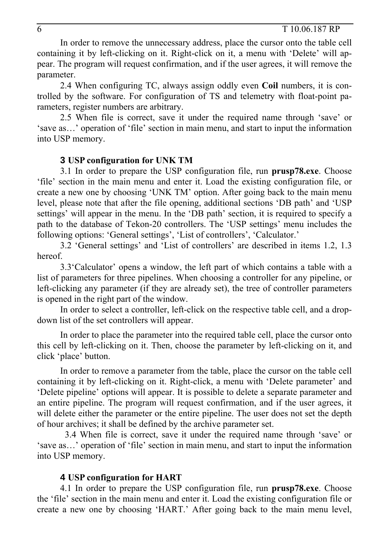In order to remove the unnecessary address, place the cursor onto the table cell containing it by left-clicking on it. Right-click on it, a menu with 'Delete' will appear. The program will request confirmation, and if the user agrees, it will remove the parameter.

2.4 When configuring TC, always assign oddly even **Coil** numbers, it is controlled by the software. For configuration of TS and telemetry with float-point parameters, register numbers are arbitrary.

2.5 When file is correct, save it under the required name through 'save' or 'save as…' operation of 'file' section in main menu, and start to input the information into USP memory.

#### **3 USP configuration for UNK TM**

3.1 In order to prepare the USP configuration file, run **prusp78.exe**. Choose 'file' section in the main menu and enter it. Load the existing configuration file, or create a new one by choosing 'UNK TM' option. After going back to the main menu level, please note that after the file opening, additional sections 'DB path' and 'USP settings' will appear in the menu. In the 'DB path' section, it is required to specify a path to the database of Tekon-20 controllers. The 'USP settings' menu includes the following options: 'General settings', 'List of controllers', 'Calculator.'

3.2 'General settings' and 'List of controllers' are described in items 1.2, 1.3 hereof.

3.3'Calculator' opens a window, the left part of which contains a table with a list of parameters for three pipelines. When choosing a controller for any pipeline, or left-clicking any parameter (if they are already set), the tree of controller parameters is opened in the right part of the window.

In order to select a controller, left-click on the respective table cell, and a dropdown list of the set controllers will appear.

In order to place the parameter into the required table cell, place the cursor onto this cell by left-clicking on it. Then, choose the parameter by left-clicking on it, and click 'place' button.

In order to remove a parameter from the table, place the cursor on the table cell containing it by left-clicking on it. Right-click, a menu with 'Delete parameter' and 'Delete pipeline' options will appear. It is possible to delete a separate parameter and an entire pipeline. The program will request confirmation, and if the user agrees, it will delete either the parameter or the entire pipeline. The user does not set the depth of hour archives; it shall be defined by the archive parameter set.

3.4 When file is correct, save it under the required name through 'save' or 'save as…' operation of 'file' section in main menu, and start to input the information into USP memory.

#### **4 USP configuration for HART**

4.1 In order to prepare the USP configuration file, run **prusp78.exe**. Choose the 'file' section in the main menu and enter it. Load the existing configuration file or create a new one by choosing 'HART.' After going back to the main menu level,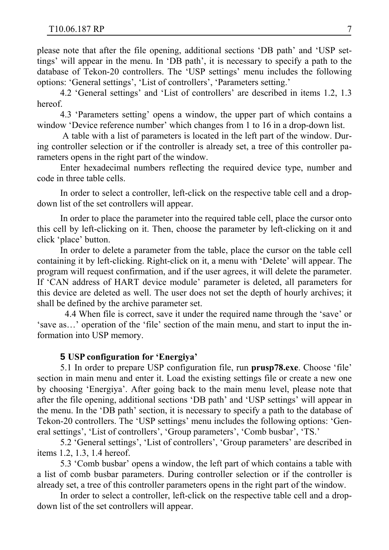please note that after the file opening, additional sections 'DB path' and 'USP settings' will appear in the menu. In 'DB path', it is necessary to specify a path to the database of Tekon-20 controllers. The 'USP settings' menu includes the following options: 'General settings', 'List of controllers', 'Parameters setting.'

4.2 'General settings' and 'List of controllers' are described in items 1.2, 1.3 hereof.

4.3 'Parameters setting' opens a window, the upper part of which contains a window 'Device reference number' which changes from 1 to 16 in a drop-down list.

 A table with a list of parameters is located in the left part of the window. During controller selection or if the controller is already set, a tree of this controller parameters opens in the right part of the window.

Enter hexadecimal numbers reflecting the required device type, number and code in three table cells.

In order to select a controller, left-click on the respective table cell and a dropdown list of the set controllers will appear.

In order to place the parameter into the required table cell, place the cursor onto this cell by left-clicking on it. Then, choose the parameter by left-clicking on it and click 'place' button.

In order to delete a parameter from the table, place the cursor on the table cell containing it by left-clicking. Right-click on it, a menu with 'Delete' will appear. The program will request confirmation, and if the user agrees, it will delete the parameter. If 'CAN address of HART device module' parameter is deleted, all parameters for this device are deleted as well. The user does not set the depth of hourly archives; it shall be defined by the archive parameter set.

4.4 When file is correct, save it under the required name through the 'save' or 'save as…' operation of the 'file' section of the main menu, and start to input the information into USP memory.

#### **5 USP configuration for 'Energiya'**

5.1 In order to prepare USP configuration file, run **prusp78.exe**. Choose 'file' section in main menu and enter it. Load the existing settings file or create a new one by choosing 'Energiya'. After going back to the main menu level, please note that after the file opening, additional sections 'DB path' and 'USP settings' will appear in the menu. In the 'DB path' section, it is necessary to specify a path to the database of Tekon-20 controllers. The 'USP settings' menu includes the following options: 'General settings', 'List of controllers', 'Group parameters', 'Comb busbar', 'TS.'

5.2 'General settings', 'List of controllers', 'Group parameters' are described in items 1.2, 1.3, 1.4 hereof.

5.3 'Comb busbar' opens a window, the left part of which contains a table with a list of comb busbar parameters. During controller selection or if the controller is already set, a tree of this controller parameters opens in the right part of the window.

In order to select a controller, left-click on the respective table cell and a dropdown list of the set controllers will appear.